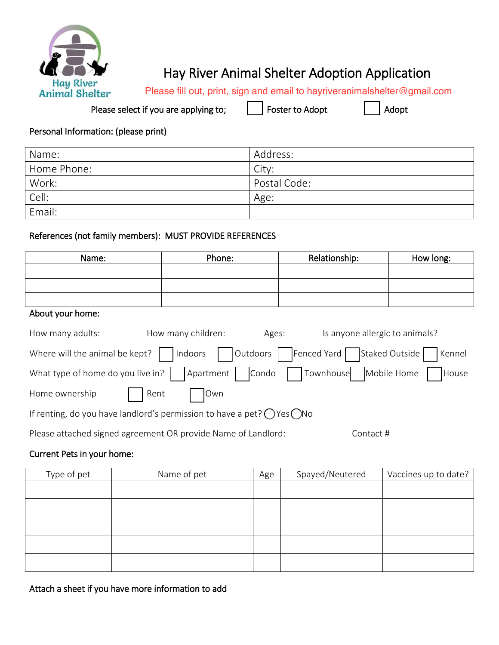

# Hay River Animal Shelter Adoption Application

Please fill out, print, sign and email to hayriveranimalshelter@gmail.com

Please select if you are applying to;  $\Box$  Foster to Adopt  $\Box$  Adopt

## Personal Information: (please print)

| Name:       | Address:     |
|-------------|--------------|
| Home Phone: | City:        |
| Work:       | Postal Code: |
| Cell:       | Age:         |
| Email:      |              |

## References (not family members): MUST PROVIDE REFERENCES

| Name:                                                                                              | Phone:                      | Relationship:                  | How long:            |
|----------------------------------------------------------------------------------------------------|-----------------------------|--------------------------------|----------------------|
|                                                                                                    |                             |                                |                      |
|                                                                                                    |                             |                                |                      |
|                                                                                                    |                             |                                |                      |
| About your home:                                                                                   |                             |                                |                      |
| How many adults:                                                                                   | How many children:<br>Ages: | Is anyone allergic to animals? |                      |
| Outdoors  <br>Fenced Yard<br>Staked Outside<br>Where will the animal be kept?<br>Indoors<br>Kennel |                             |                                |                      |
| What type of home do you live in?                                                                  | Apartment  <br>Condo        | Townhouse                      | Mobile Home<br>House |
| Home ownership<br>Rent                                                                             | Own                         |                                |                      |
| If renting, do you have landlord's permission to have a pet? $\Box$ Yes $\Box$ No                  |                             |                                |                      |
| Please attached signed agreement OR provide Name of Landlord:                                      |                             | Contact #                      |                      |
| Current Pets in your home:                                                                         |                             |                                |                      |

# Type of pet  $\begin{vmatrix} \end{vmatrix}$  Name of pet  $\begin{vmatrix} \end{vmatrix}$  Age  $\begin{vmatrix} \end{vmatrix}$  Spayed/Neutered  $\begin{vmatrix} \end{vmatrix}$  Vaccines up to date?

Attach a sheet if you have more information to add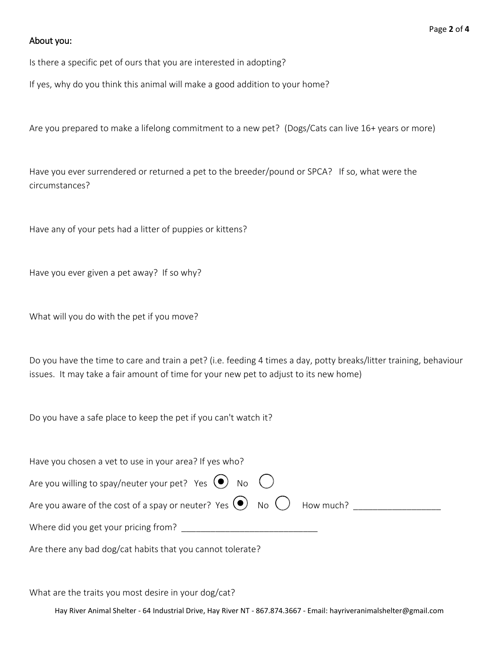#### About you:

Is there a specific pet of ours that you are interested in adopting?

If yes, why do you think this animal will make a good addition to your home?

Are you prepared to make a lifelong commitment to a new pet? (Dogs/Cats can live 16+ years or more)

Have you ever surrendered or returned a pet to the breeder/pound or SPCA? If so, what were the circumstances?

Have any of your pets had a litter of puppies or kittens?

Have you ever given a pet away? If so why?

What will you do with the pet if you move?

Do you have the time to care and train a pet? (i.e. feeding 4 times a day, potty breaks/litter training, behaviour issues. It may take a fair amount of time for your new pet to adjust to its new home)

Do you have a safe place to keep the pet if you can't watch it?

| Have you chosen a vet to use in your area? If yes who?                                                        |
|---------------------------------------------------------------------------------------------------------------|
| Are you willing to spay/neuter your pet? Yes $\sqrt{\phantom{a}}$ No $\boxed{\phantom{a}}$                    |
| Are you aware of the cost of a spay or neuter? Yes $\boxed{\smash{\nu}}$ No $\boxed{\phantom{\nu}}$ How much? |
| Where did you get your pricing from?                                                                          |
| Are there any bad dog/cat habits that you cannot tolerate?                                                    |

What are the traits you most desire in your dog/cat?

Hay River Animal Shelter - 64 Industrial Drive, Hay River NT - 867.874.3667 - Email: hayriveranimalshelter@gmail.com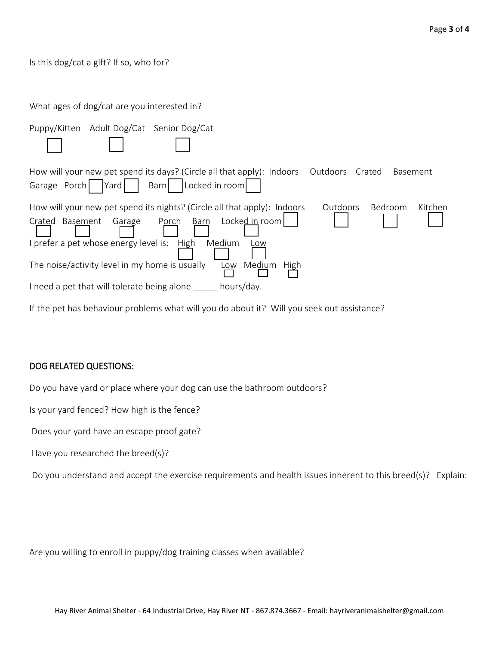#### Is this dog/cat a gift? If so, who for?

| What ages of dog/cat are you interested in?                                                                                                                                                                                                                                                                                        |
|------------------------------------------------------------------------------------------------------------------------------------------------------------------------------------------------------------------------------------------------------------------------------------------------------------------------------------|
| Puppy/Kitten Adult Dog/Cat Senior Dog/Cat                                                                                                                                                                                                                                                                                          |
| How will your new pet spend its days? (Circle all that apply): Indoors<br>Outdoors<br>Crated<br><b>Basement</b><br>Garage Porch   Yard<br>Locked in room<br>Barn                                                                                                                                                                   |
| How will your new pet spend its nights? (Circle all that apply): Indoors<br><b>Outdoors</b><br><b>Bedroom</b><br>Kitchen<br>Locked in room<br>Porch Barn<br>Garage<br>Crated Basement<br>I prefer a pet whose energy level is:<br>High<br>Medium<br>Low<br>The noise/activity level in my home is usually<br>Medium<br>Low<br>High |
| hours/day.<br>I need a pet that will tolerate being alone                                                                                                                                                                                                                                                                          |

# DOG RELATED QUESTIONS:

Do you have yard or place where your dog can use the bathroom outdoors?

If the pet has behaviour problems what will you do about it? Will you seek out assistance?

Is your yard fenced? How high is the fence?

Does your yard have an escape proof gate?

Have you researched the breed(s)?

Do you understand and accept the exercise requirements and health issues inherent to this breed(s)? Explain:

Are you willing to enroll in puppy/dog training classes when available?